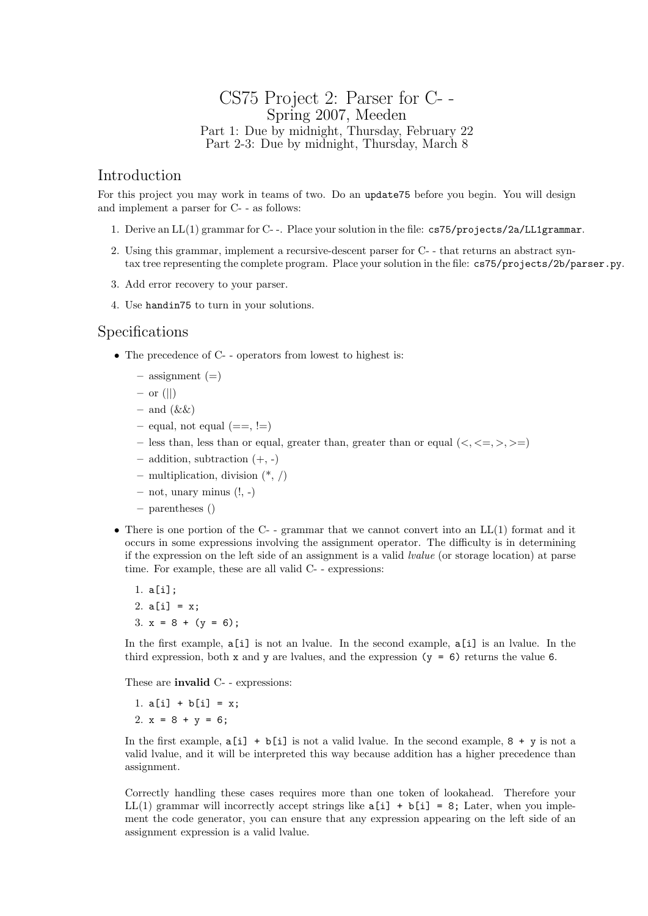## CS75 Project 2: Parser for C- - Spring 2007, Meeden Part 1: Due by midnight, Thursday, February 22 Part 2-3: Due by midnight, Thursday, March 8

### Introduction

For this project you may work in teams of two. Do an update75 before you begin. You will design and implement a parser for C- - as follows:

- 1. Derive an LL(1) grammar for C- -. Place your solution in the file: cs75/projects/2a/LL1grammar.
- 2. Using this grammar, implement a recursive-descent parser for C- that returns an abstract syntax tree representing the complete program. Place your solution in the file: cs75/projects/2b/parser.py.
- 3. Add error recovery to your parser.
- 4. Use handin75 to turn in your solutions.

#### Specifications

- The precedence of C- operators from lowest to highest is:
	- $-$  assignment  $(=)$
	- $-$  or (||)
	- and  $(kk)$
	- $-$  equal, not equal ( $==$ ,  $!=$ )
	- less than, less than or equal, greater than, greater than or equal  $(\langle, \langle =, \rangle, \rangle)$
	- $-$  addition, subtraction  $(+, -)$
	- $-$  multiplication, division  $(*, /)$
	- $-$  not, unary minus  $(!,-)$
	- parentheses ()
- There is one portion of the C- grammar that we cannot convert into an LL(1) format and it occurs in some expressions involving the assignment operator. The difficulty is in determining if the expression on the left side of an assignment is a valid lvalue (or storage location) at parse time. For example, these are all valid C- - expressions:
	- 1. a[i]; 2.  $a[i] = x;$ 3.  $x = 8 + (y = 6)$ ;

In the first example, a[i] is not an lvalue. In the second example, a[i] is an lvalue. In the third expression, both x and y are lvalues, and the expression  $(y = 6)$  returns the value 6.

These are **invalid** C- - expressions:

1.  $a[i] + b[i] = x;$ 2.  $x = 8 + y = 6$ ;

In the first example,  $a[i] + b[i]$  is not a valid lvalue. In the second example,  $8 + y$  is not a valid lvalue, and it will be interpreted this way because addition has a higher precedence than assignment.

Correctly handling these cases requires more than one token of lookahead. Therefore your LL(1) grammar will incorrectly accept strings like  $a[i] + b[i] = 8$ ; Later, when you implement the code generator, you can ensure that any expression appearing on the left side of an assignment expression is a valid lvalue.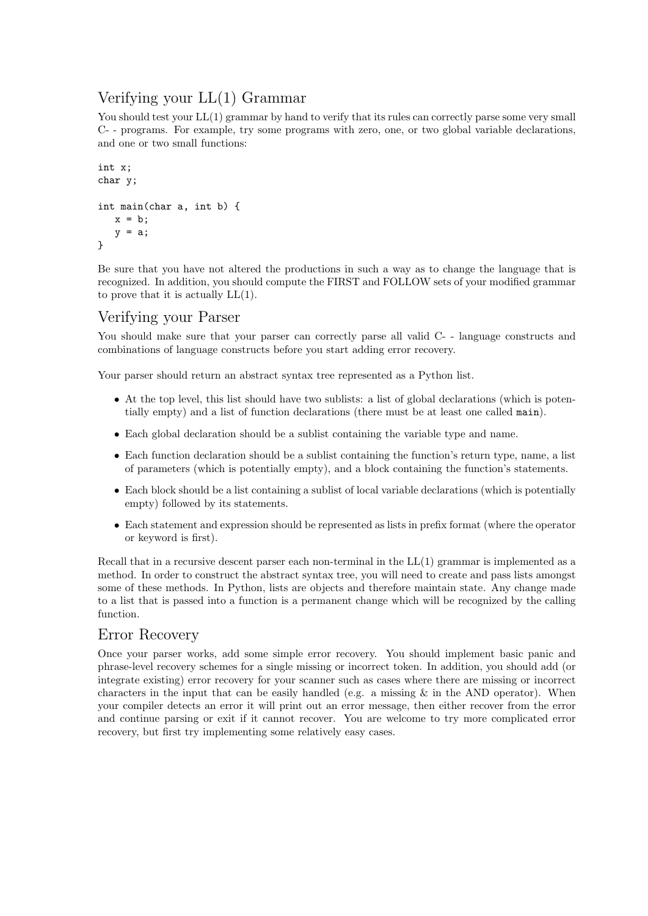# Verifying your LL(1) Grammar

You should test your  $LL(1)$  grammar by hand to verify that its rules can correctly parse some very small C- - programs. For example, try some programs with zero, one, or two global variable declarations, and one or two small functions:

```
int x;
char y;
int main(char a, int b) {
   x = b;
   y = a;}
```
Be sure that you have not altered the productions in such a way as to change the language that is recognized. In addition, you should compute the FIRST and FOLLOW sets of your modified grammar to prove that it is actually LL(1).

# Verifying your Parser

You should make sure that your parser can correctly parse all valid C- - language constructs and combinations of language constructs before you start adding error recovery.

Your parser should return an abstract syntax tree represented as a Python list.

- At the top level, this list should have two sublists: a list of global declarations (which is potentially empty) and a list of function declarations (there must be at least one called main).
- Each global declaration should be a sublist containing the variable type and name.
- Each function declaration should be a sublist containing the function's return type, name, a list of parameters (which is potentially empty), and a block containing the function's statements.
- Each block should be a list containing a sublist of local variable declarations (which is potentially empty) followed by its statements.
- Each statement and expression should be represented as lists in prefix format (where the operator or keyword is first).

Recall that in a recursive descent parser each non-terminal in the  $LL(1)$  grammar is implemented as a method. In order to construct the abstract syntax tree, you will need to create and pass lists amongst some of these methods. In Python, lists are objects and therefore maintain state. Any change made to a list that is passed into a function is a permanent change which will be recognized by the calling function.

## Error Recovery

Once your parser works, add some simple error recovery. You should implement basic panic and phrase-level recovery schemes for a single missing or incorrect token. In addition, you should add (or integrate existing) error recovery for your scanner such as cases where there are missing or incorrect characters in the input that can be easily handled (e.g. a missing  $\&$  in the AND operator). When your compiler detects an error it will print out an error message, then either recover from the error and continue parsing or exit if it cannot recover. You are welcome to try more complicated error recovery, but first try implementing some relatively easy cases.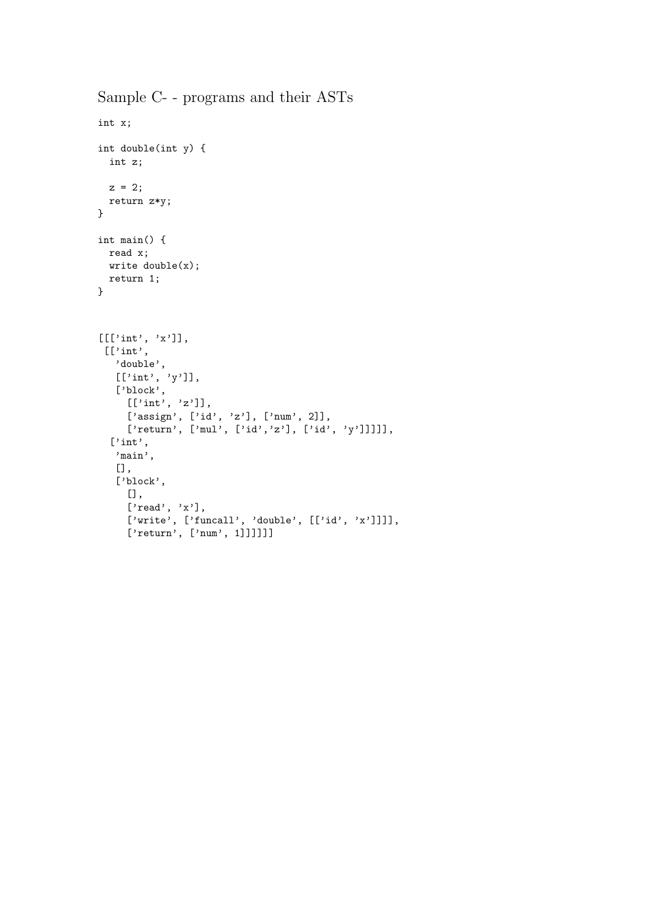```
Sample C- - programs and their ASTs
```

```
int x;
int double(int y) {
 int z;
 z = 2;return z*y;
}
int main() {
read x;
 write double(x);
 return 1;
}
[[['int', 'x']],
 [['int',
   'double',
   [[\text{'int}', 'y']],['block',
     [[\text{'int}', 'z']],['assign', ['id', 'z'], ['num', 2]],
     ['return', ['mul', ['id','z'], ['id', 'y']]]]],
  ['int',
   'main',
   [],
   ['block',
     [],
     ['read', 'x'],
     ['write', ['funcall', 'double', [['id', 'x']]]],
     ['return', ['num', 1]]]]]]
```